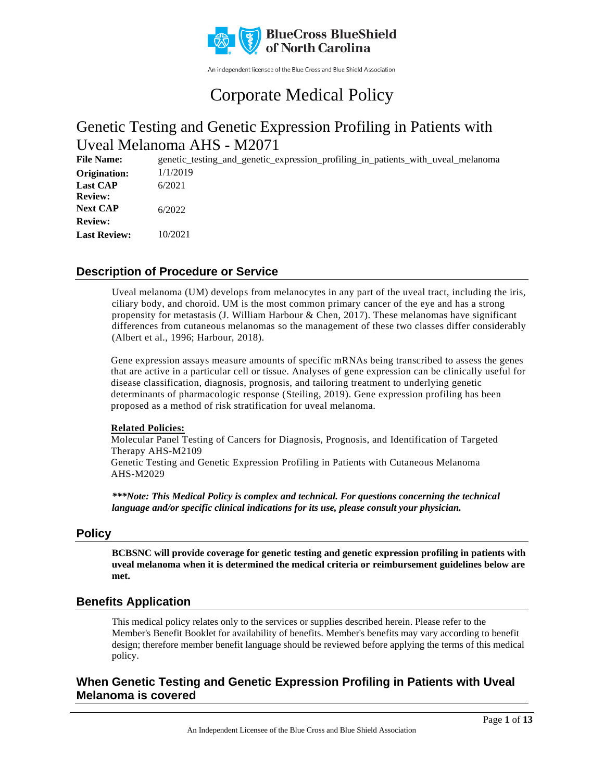

An independent licensee of the Blue Cross and Blue Shield Association

# Corporate Medical Policy

## Genetic Testing and Genetic Expression Profiling in Patients with Uveal Melanoma AHS - M2071

**File Name:** genetic\_testing\_and\_genetic\_expression\_profiling\_in\_patients\_with\_uveal\_melanoma 1/1/2019 6/2021 6/2022 10/2021 **Origination: Last CAP Review: Next CAP Review: Last Review:**

### **Description of Procedure or Service**

Uveal melanoma (UM) develops from melanocytes in any part of the uveal tract, including the iris, ciliary body, and choroid. UM is the most common primary cancer of the eye and has a strong propensity for metastasis (J. William Harbour & Chen, 2017). These melanomas have significant differences from cutaneous melanomas so the management of these two classes differ considerably (Albert et al., 1996; Harbour, 2018).

Gene expression assays measure amounts of specific mRNAs being transcribed to assess the genes that are active in a particular cell or tissue. Analyses of gene expression can be clinically useful for disease classification, diagnosis, prognosis, and tailoring treatment to underlying genetic determinants of pharmacologic response (Steiling, 2019). Gene expression profiling has been proposed as a method of risk stratification for uveal melanoma.

### **Related Policies:**

Molecular Panel Testing of Cancers for Diagnosis, Prognosis, and Identification of Targeted Therapy AHS-M2109

Genetic Testing and Genetic Expression Profiling in Patients with Cutaneous Melanoma AHS-M2029

*\*\*\*Note: This Medical Policy is complex and technical. For questions concerning the technical language and/or specific clinical indications for its use, please consult your physician.*

### **Policy**

**BCBSNC will provide coverage for genetic testing and genetic expression profiling in patients with uveal melanoma when it is determined the medical criteria or reimbursement guidelines below are met.**

### **Benefits Application**

This medical policy relates only to the services or supplies described herein. Please refer to the Member's Benefit Booklet for availability of benefits. Member's benefits may vary according to benefit design; therefore member benefit language should be reviewed before applying the terms of this medical policy.

### **When Genetic Testing and Genetic Expression Profiling in Patients with Uveal Melanoma is covered**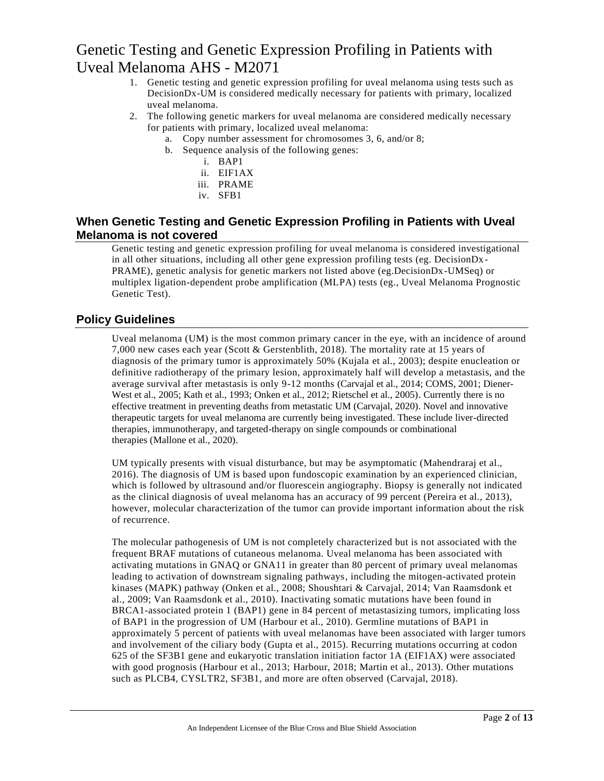- 1. Genetic testing and genetic expression profiling for uveal melanoma using tests such as DecisionDx-UM is considered medically necessary for patients with primary, localized uveal melanoma.
- 2. The following genetic markers for uveal melanoma are considered medically necessary for patients with primary, localized uveal melanoma:
	- a. Copy number assessment for chromosomes 3, 6, and/or 8;
	- b. Sequence analysis of the following genes:
		- i. BAP1
		- ii. EIF1AX
		- iii. PRAME
		- iv. SFB1

### **When Genetic Testing and Genetic Expression Profiling in Patients with Uveal Melanoma is not covered**

Genetic testing and genetic expression profiling for uveal melanoma is considered investigational in all other situations, including all other gene expression profiling tests (eg. DecisionDx-PRAME), genetic analysis for genetic markers not listed above (eg.DecisionDx-UMSeq) or multiplex ligation-dependent probe amplification (MLPA) tests (eg., Uveal Melanoma Prognostic Genetic Test).

### **Policy Guidelines**

Uveal melanoma (UM) is the most common primary cancer in the eye, with an incidence of around 7,000 new cases each year (Scott & Gerstenblith, 2018). The mortality rate at 15 years of diagnosis of the primary tumor is approximately 50% (Kujala et al., 2003); despite enucleation or definitive radiotherapy of the primary lesion, approximately half will develop a metastasis, and the average survival after metastasis is only 9-12 months (Carvajal et al., 2014; COMS, 2001; Diener-West et al., 2005; Kath et al., 1993; Onken et al., 2012; Rietschel et al., 2005). Currently there is no effective treatment in preventing deaths from metastatic UM (Carvajal, 2020). Novel and innovative therapeutic targets for uveal melanoma are currently being investigated. These include liver-directed therapies, immunotherapy, and targeted-therapy on single compounds or combinational therapies (Mallone et al., 2020).

UM typically presents with visual disturbance, but may be asymptomatic (Mahendraraj et al., 2016). The diagnosis of UM is based upon fundoscopic examination by an experienced clinician, which is followed by ultrasound and/or fluorescein angiography. Biopsy is generally not indicated as the clinical diagnosis of uveal melanoma has an accuracy of 99 percent (Pereira et al., 2013), however, molecular characterization of the tumor can provide important information about the risk of recurrence.

The molecular pathogenesis of UM is not completely characterized but is not associated with the frequent BRAF mutations of cutaneous melanoma. Uveal melanoma has been associated with activating mutations in GNAQ or GNA11 in greater than 80 percent of primary uveal melanomas leading to activation of downstream signaling pathways, including the mitogen-activated protein kinases (MAPK) pathway (Onken et al., 2008; Shoushtari & Carvajal, 2014; Van Raamsdonk et al., 2009; Van Raamsdonk et al., 2010). Inactivating somatic mutations have been found in BRCA1-associated protein 1 (BAP1) gene in 84 percent of metastasizing tumors, implicating loss of BAP1 in the progression of UM (Harbour et al., 2010). Germline mutations of BAP1 in approximately 5 percent of patients with uveal melanomas have been associated with larger tumors and involvement of the ciliary body (Gupta et al., 2015). Recurring mutations occurring at codon 625 of the SF3B1 gene and eukaryotic translation initiation factor 1A (EIF1AX) were associated with good prognosis (Harbour et al., 2013; Harbour, 2018; Martin et al., 2013). Other mutations such as PLCB4, CYSLTR2, SF3B1, and more are often observed (Carvajal, 2018).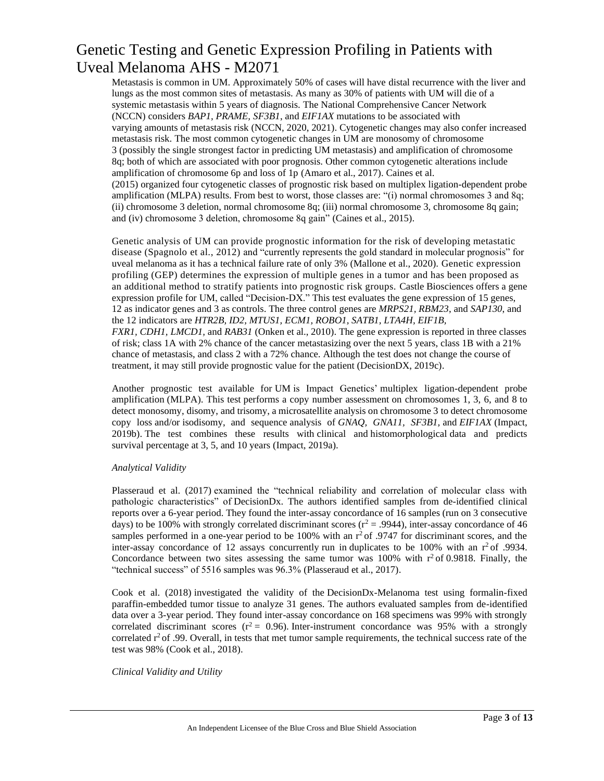Metastasis is common in UM. Approximately 50% of cases will have distal recurrence with the liver and lungs as the most common sites of metastasis. As many as 30% of patients with UM will die of a systemic metastasis within 5 years of diagnosis. The National Comprehensive Cancer Network (NCCN) considers *BAP1, PRAME, SF3B1*, and *EIF1AX* mutations to be associated with varying amounts of metastasis risk (NCCN, 2020, 2021). Cytogenetic changes may also confer increased metastasis risk. The most common cytogenetic changes in UM are monosomy of chromosome 3 (possibly the single strongest factor in predicting UM metastasis) and amplification of chromosome 8q; both of which are associated with poor prognosis. Other common cytogenetic alterations include amplification of chromosome 6p and loss of 1p (Amaro et al., 2017). Caines et al. (2015) organized four cytogenetic classes of prognostic risk based on multiplex ligation-dependent probe amplification (MLPA) results. From best to worst, those classes are: "(i) normal chromosomes 3 and 8q; (ii) chromosome 3 deletion, normal chromosome 8q; (iii) normal chromosome 3, chromosome 8q gain; and (iv) chromosome 3 deletion, chromosome 8q gain" (Caines et al., 2015).

Genetic analysis of UM can provide prognostic information for the risk of developing metastatic disease (Spagnolo et al., 2012) and "currently represents the gold standard in molecular prognosis" for uveal melanoma as it has a technical failure rate of only 3% (Mallone et al., 2020). Genetic expression profiling (GEP) determines the expression of multiple genes in a tumor and has been proposed as an additional method to stratify patients into prognostic risk groups. Castle Biosciences offers a gene expression profile for UM, called "Decision-DX." This test evaluates the gene expression of 15 genes, 12 as indicator genes and 3 as controls. The three control genes are *MRPS21, RBM23*, and *SAP130*, and the 12 indicators are *HTR2B, ID2, MTUS1, ECM1, ROBO1, SATB1, LTA4H, EIF1B, FXR1, CDH1, LMCD1,* and *RAB31* (Onken et al., 2010). The gene expression is reported in three classes of risk; class 1A with 2% chance of the cancer metastasizing over the next 5 years, class 1B with a 21% chance of metastasis, and class 2 with a 72% chance. Although the test does not change the course of treatment, it may still provide prognostic value for the patient (DecisionDX, 2019c).

Another prognostic test available for UM is Impact Genetics' multiplex ligation-dependent probe amplification (MLPA). This test performs a copy number assessment on chromosomes 1, 3, 6, and 8 to detect monosomy, disomy, and trisomy, a microsatellite analysis on chromosome 3 to detect chromosome copy loss and/or isodisomy, and sequence analysis of *GNAQ, GNA11, SF3B1,* and *EIF1AX* (Impact, 2019b). The test combines these results with clinical and histomorphological data and predicts survival percentage at 3, 5, and 10 years (Impact, 2019a).

#### *Analytical Validity*

Plasseraud et al. (2017) examined the "technical reliability and correlation of molecular class with pathologic characteristics" of DecisionDx. The authors identified samples from de-identified clinical reports over a 6-year period. They found the inter-assay concordance of 16 samples (run on 3 consecutive days) to be 100% with strongly correlated discriminant scores ( $r^2 = .9944$ ), inter-assay concordance of 46 samples performed in a one-year period to be 100% with an  $r^2$  of .9747 for discriminant scores, and the inter-assay concordance of 12 assays concurrently run in duplicates to be 100% with an  $r^2$  of .9934. Concordance between two sites assessing the same tumor was  $100\%$  with  $r^2$  of 0.9818. Finally, the "technical success" of 5516 samples was 96.3% (Plasseraud et al., 2017).

Cook et al. (2018) investigated the validity of the DecisionDx-Melanoma test using formalin-fixed paraffin-embedded tumor tissue to analyze 31 genes. The authors evaluated samples from de-identified data over a 3-year period. They found inter-assay concordance on 168 specimens was 99% with strongly correlated discriminant scores ( $r^2 = 0.96$ ). Inter-instrument concordance was 95% with a strongly correlated  $r^2$  of .99. Overall, in tests that met tumor sample requirements, the technical success rate of the test was 98% (Cook et al., 2018).

#### *Clinical Validity and Utility*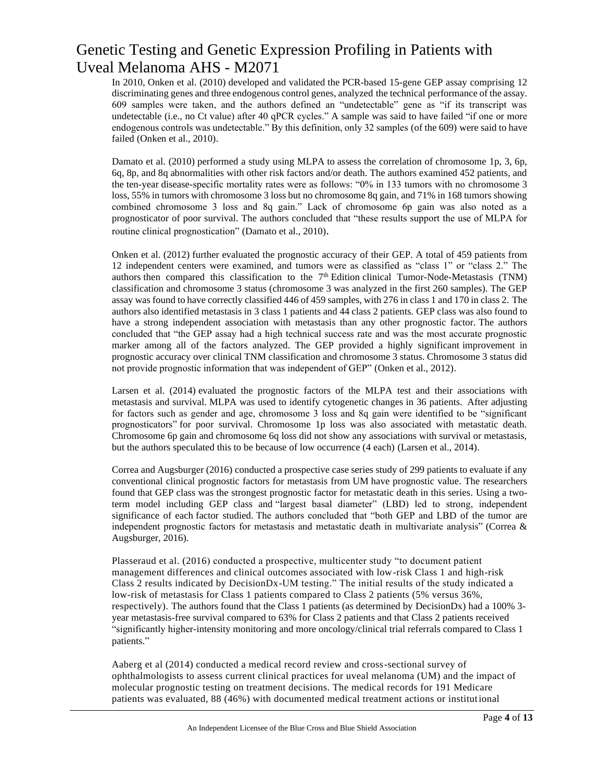In 2010, Onken et al. (2010) developed and validated the PCR-based 15-gene GEP assay comprising 12 discriminating genes and three endogenous control genes, analyzed the technical performance of the assay. 609 samples were taken, and the authors defined an "undetectable" gene as "if its transcript was undetectable (i.e., no Ct value) after 40 qPCR cycles." A sample was said to have failed "if one or more endogenous controls was undetectable." By this definition, only 32 samples (of the 609) were said to have failed (Onken et al., 2010).

Damato et al. (2010) performed a study using MLPA to assess the correlation of chromosome 1p, 3, 6p, 6q, 8p, and 8q abnormalities with other risk factors and/or death. The authors examined 452 patients, and the ten-year disease-specific mortality rates were as follows: "0% in 133 tumors with no chromosome 3 loss, 55% in tumors with chromosome 3 loss but no chromosome 8q gain, and 71% in 168 tumors showing combined chromosome 3 loss and 8q gain." Lack of chromosome 6p gain was also noted as a prognosticator of poor survival. The authors concluded that "these results support the use of MLPA for routine clinical prognostication" (Damato et al., 2010).

Onken et al. (2012) further evaluated the prognostic accuracy of their GEP. A total of 459 patients from 12 independent centers were examined, and tumors were as classified as "class 1" or "class 2." The authors then compared this classification to the  $7<sup>th</sup>$  Edition clinical Tumor-Node-Metastasis (TNM) classification and chromosome 3 status (chromosome 3 was analyzed in the first 260 samples). The GEP assay was found to have correctly classified 446 of 459 samples, with 276 in class 1 and 170 in class 2. The authors also identified metastasis in 3 class 1 patients and 44 class 2 patients. GEP class was also found to have a strong independent association with metastasis than any other prognostic factor. The authors concluded that "the GEP assay had a high technical success rate and was the most accurate prognostic marker among all of the factors analyzed. The GEP provided a highly significant improvement in prognostic accuracy over clinical TNM classification and chromosome 3 status. Chromosome 3 status did not provide prognostic information that was independent of GEP" (Onken et al., 2012).

Larsen et al. (2014) evaluated the prognostic factors of the MLPA test and their associations with metastasis and survival. MLPA was used to identify cytogenetic changes in 36 patients. After adjusting for factors such as gender and age, chromosome 3 loss and 8q gain were identified to be "significant prognosticators" for poor survival. Chromosome 1p loss was also associated with metastatic death. Chromosome 6p gain and chromosome 6q loss did not show any associations with survival or metastasis, but the authors speculated this to be because of low occurrence (4 each) (Larsen et al., 2014).

Correa and Augsburger (2016) conducted a prospective case series study of 299 patients to evaluate if any conventional clinical prognostic factors for metastasis from UM have prognostic value. The researchers found that GEP class was the strongest prognostic factor for metastatic death in this series. Using a twoterm model including GEP class and "largest basal diameter" (LBD) led to strong, independent significance of each factor studied. The authors concluded that "both GEP and LBD of the tumor are independent prognostic factors for metastasis and metastatic death in multivariate analysis" (Correa & Augsburger, 2016).

Plasseraud et al. (2016) conducted a prospective, multicenter study "to document patient management differences and clinical outcomes associated with low-risk Class 1 and high-risk Class 2 results indicated by DecisionDx-UM testing." The initial results of the study indicated a low-risk of metastasis for Class 1 patients compared to Class 2 patients (5% versus 36%, respectively). The authors found that the Class 1 patients (as determined by DecisionDx) had a 100% 3 year metastasis-free survival compared to 63% for Class 2 patients and that Class 2 patients received "significantly higher-intensity monitoring and more oncology/clinical trial referrals compared to Class 1 patients."

Aaberg et al (2014) conducted a medical record review and cross-sectional survey of ophthalmologists to assess current clinical practices for uveal melanoma (UM) and the impact of molecular prognostic testing on treatment decisions. The medical records for 191 Medicare patients was evaluated, 88 (46%) with documented medical treatment actions or institutional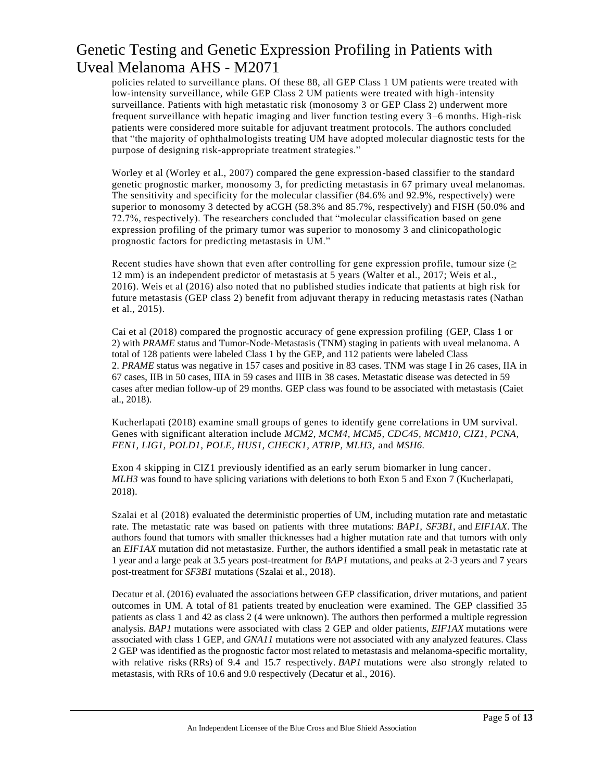policies related to surveillance plans. Of these 88, all GEP Class 1 UM patients were treated with low-intensity surveillance, while GEP Class 2 UM patients were treated with high-intensity surveillance. Patients with high metastatic risk (monosomy 3 or GEP Class 2) underwent more frequent surveillance with hepatic imaging and liver function testing every 3–6 months. High-risk patients were considered more suitable for adjuvant treatment protocols. The authors concluded that "the majority of ophthalmologists treating UM have adopted molecular diagnostic tests for the purpose of designing risk-appropriate treatment strategies."

Worley et al (Worley et al., 2007) compared the gene expression-based classifier to the standard genetic prognostic marker, monosomy 3, for predicting metastasis in 67 primary uveal melanomas. The sensitivity and specificity for the molecular classifier (84.6% and 92.9%, respectively) were superior to monosomy 3 detected by aCGH (58.3% and 85.7%, respectively) and FISH (50.0% and 72.7%, respectively). The researchers concluded that "molecular classification based on gene expression profiling of the primary tumor was superior to monosomy 3 and clinicopathologic prognostic factors for predicting metastasis in UM."

Recent studies have shown that even after controlling for gene expression profile, tumour size  $(\geq$ 12 mm) is an independent predictor of metastasis at 5 years (Walter et al., 2017; Weis et al., 2016). Weis et al (2016) also noted that no published studies indicate that patients at high risk for future metastasis (GEP class 2) benefit from adjuvant therapy in reducing metastasis rates (Nathan et al., 2015).

Cai et al (2018) compared the prognostic accuracy of gene expression profiling (GEP, Class 1 or 2) with *PRAME* status and Tumor-Node-Metastasis (TNM) staging in patients with uveal melanoma. A total of 128 patients were labeled Class 1 by the GEP, and 112 patients were labeled Class 2. *PRAME* status was negative in 157 cases and positive in 83 cases. TNM was stage I in 26 cases, IIA in 67 cases, IIB in 50 cases, IIIA in 59 cases and IIIB in 38 cases. Metastatic disease was detected in 59 cases after median follow-up of 29 months. GEP class was found to be associated with metastasis (Caiet al., 2018).

Kucherlapati (2018) examine small groups of genes to identify gene correlations in UM survival. Genes with significant alteration include *MCM2, MCM4, MCM5, CDC45, MCM10, CIZ1, PCNA, FEN1, LIG1, POLD1, POLE, HUS1, CHECK1, ATRIP, MLH3,* and *MSH6.*

Exon 4 skipping in CIZ1 previously identified as an early serum biomarker in lung cancer. *MLH3* was found to have splicing variations with deletions to both Exon 5 and Exon 7 (Kucherlapati, 2018).

Szalai et al (2018) evaluated the deterministic properties of UM, including mutation rate and metastatic rate. The metastatic rate was based on patients with three mutations: *BAP1, SF3B1,* and *EIF1AX*. The authors found that tumors with smaller thicknesses had a higher mutation rate and that tumors with only an *EIF1AX* mutation did not metastasize. Further, the authors identified a small peak in metastatic rate at 1 year and a large peak at 3.5 years post-treatment for *BAP1* mutations, and peaks at 2-3 years and 7 years post-treatment for *SF3B1* mutations (Szalai et al., 2018).

Decatur et al. (2016) evaluated the associations between GEP classification, driver mutations, and patient outcomes in UM. A total of 81 patients treated by enucleation were examined. The GEP classified 35 patients as class 1 and 42 as class 2 (4 were unknown). The authors then performed a multiple regression analysis. *BAP1* mutations were associated with class 2 GEP and older patients, *EIF1AX* mutations were associated with class 1 GEP, and *GNA11* mutations were not associated with any analyzed features. Class 2 GEP was identified as the prognostic factor most related to metastasis and melanoma-specific mortality, with relative risks (RRs) of 9.4 and 15.7 respectively. *BAP1* mutations were also strongly related to metastasis, with RRs of 10.6 and 9.0 respectively (Decatur et al., 2016).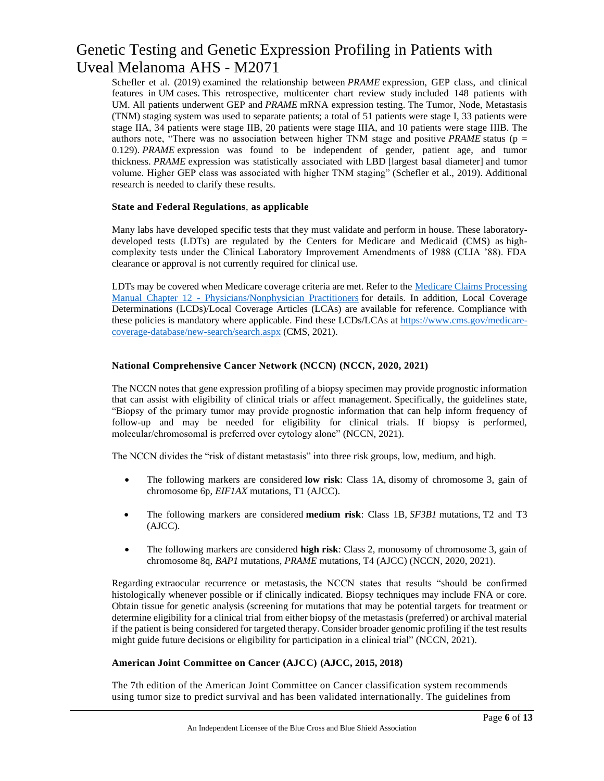Schefler et al. (2019) examined the relationship between *PRAME* expression, GEP class, and clinical features in UM cases. This retrospective, multicenter chart review study included 148 patients with UM. All patients underwent GEP and *PRAME* mRNA expression testing. The Tumor, Node, Metastasis (TNM) staging system was used to separate patients; a total of 51 patients were stage I, 33 patients were stage IIA, 34 patients were stage IIB, 20 patients were stage IIIA, and 10 patients were stage IIIB. The authors note, "There was no association between higher TNM stage and positive *PRAME* status (p = 0.129). *PRAME* expression was found to be independent of gender, patient age, and tumor thickness. *PRAME* expression was statistically associated with LBD [largest basal diameter] and tumor volume. Higher GEP class was associated with higher TNM staging" (Schefler et al., 2019). Additional research is needed to clarify these results.

#### **State and Federal Regulations**, **as applicable**

Many labs have developed specific tests that they must validate and perform in house. These laboratorydeveloped tests (LDTs) are regulated by the Centers for Medicare and Medicaid (CMS) as highcomplexity tests under the Clinical Laboratory Improvement Amendments of 1988 (CLIA '88). FDA clearance or approval is not currently required for clinical use.

LDTs may be covered when Medicare coverage criteria are met. Refer to the Medicare Claims Processing Manual Chapter 12 - [Physicians/Nonphysician Practitioners](https://www.cms.gov/Regulations-and-Guidance/Guidance/Manuals/downloads/clm104c12.pdf) for details. In addition, Local Coverage Determinations (LCDs)/Local Coverage Articles (LCAs) are available for reference. Compliance with these policies is mandatory where applicable. Find these LCDs/LCAs at [https://www.cms.gov/medicare](https://www.cms.gov/medicare-coverage-database/new-search/search.aspx)[coverage-database/new-search/search.aspx](https://www.cms.gov/medicare-coverage-database/new-search/search.aspx) (CMS, 2021).

#### **National Comprehensive Cancer Network (NCCN) (NCCN, 2020, 2021)**

The NCCN notes that gene expression profiling of a biopsy specimen may provide prognostic information that can assist with eligibility of clinical trials or affect management. Specifically, the guidelines state, "Biopsy of the primary tumor may provide prognostic information that can help inform frequency of follow-up and may be needed for eligibility for clinical trials. If biopsy is performed, molecular/chromosomal is preferred over cytology alone" (NCCN, 2021).

The NCCN divides the "risk of distant metastasis" into three risk groups, low, medium, and high.

- The following markers are considered **low risk**: Class 1A, disomy of chromosome 3, gain of chromosome 6p, *EIF1AX* mutations, T1 (AJCC).
- The following markers are considered **medium risk**: Class 1B, *SF3B1* mutations, T2 and T3 (AJCC).
- The following markers are considered **high risk**: Class 2, monosomy of chromosome 3, gain of chromosome 8q, *BAP1* mutations, *PRAME* mutations, T4 (AJCC) (NCCN, 2020, 2021).

Regarding extraocular recurrence or metastasis, the NCCN states that results "should be confirmed histologically whenever possible or if clinically indicated. Biopsy techniques may include FNA or core. Obtain tissue for genetic analysis (screening for mutations that may be potential targets for treatment or determine eligibility for a clinical trial from either biopsy of the metastasis (preferred) or archival material if the patient is being considered for targeted therapy. Consider broader genomic profiling if the test results might guide future decisions or eligibility for participation in a clinical trial" (NCCN, 2021).

#### **American Joint Committee on Cancer (AJCC) (AJCC, 2015, 2018)**

The 7th edition of the American Joint Committee on Cancer classification system recommends using tumor size to predict survival and has been validated internationally. The guidelines from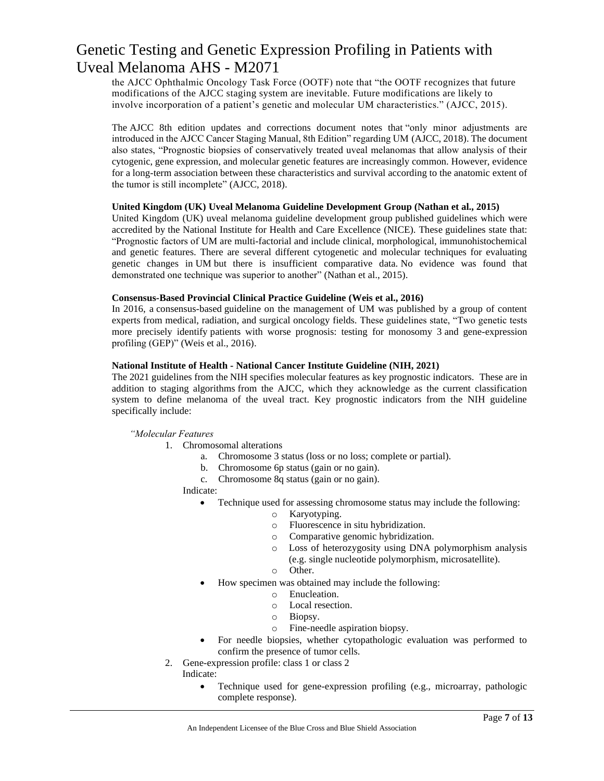the AJCC Ophthalmic Oncology Task Force (OOTF) note that "the OOTF recognizes that future modifications of the AJCC staging system are inevitable. Future modifications are likely to involve incorporation of a patient's genetic and molecular UM characteristics." (AJCC, 2015).

The AJCC 8th edition updates and corrections document notes that "only minor adjustments are introduced in the AJCC Cancer Staging Manual, 8th Edition" regarding UM (AJCC, 2018). The document also states, "Prognostic biopsies of conservatively treated uveal melanomas that allow analysis of their cytogenic, gene expression, and molecular genetic features are increasingly common. However, evidence for a long-term association between these characteristics and survival according to the anatomic extent of the tumor is still incomplete" (AJCC, 2018).

#### **United Kingdom (UK) Uveal Melanoma Guideline Development Group (Nathan et al., 2015)**

United Kingdom (UK) uveal melanoma guideline development group published guidelines which were accredited by the National Institute for Health and Care Excellence (NICE). These guidelines state that: "Prognostic factors of UM are multi-factorial and include clinical, morphological, immunohistochemical and genetic features. There are several different cytogenetic and molecular techniques for evaluating genetic changes in UM but there is insufficient comparative data. No evidence was found that demonstrated one technique was superior to another" (Nathan et al., 2015).

#### **Consensus-Based Provincial Clinical Practice Guideline (Weis et al., 2016)**

In 2016, a consensus-based guideline on the management of UM was published by a group of content experts from medical, radiation, and surgical oncology fields. These guidelines state, "Two genetic tests more precisely identify patients with worse prognosis: testing for monosomy 3 and gene-expression profiling (GEP)" (Weis et al., 2016).

#### **National Institute of Health - National Cancer Institute Guideline (NIH, 2021)**

The 2021 guidelines from the NIH specifies molecular features as key prognostic indicators. These are in addition to staging algorithms from the AJCC, which they acknowledge as the current classification system to define melanoma of the uveal tract. Key prognostic indicators from the NIH guideline specifically include:

*"Molecular Features*

- 1. Chromosomal alterations
	- a. Chromosome 3 status (loss or no loss; complete or partial).
	- b. Chromosome 6p status (gain or no gain).
	- c. Chromosome 8q status (gain or no gain).

Indicate:

- Technique used for assessing chromosome status may include the following:
	- o Karyotyping.
		- o Fluorescence in situ hybridization.
		- o Comparative genomic hybridization.
		- o Loss of heterozygosity using DNA polymorphism analysis (e.g. single nucleotide polymorphism, microsatellite). o Other.
	- How specimen was obtained may include the following:
		- o Enucleation.
		- o Local resection.
		- o Biopsy.
		- o Fine-needle aspiration biopsy.
- For needle biopsies, whether cytopathologic evaluation was performed to confirm the presence of tumor cells.
- 2. Gene-expression profile: class 1 or class 2

Indicate:

• Technique used for gene-expression profiling (e.g., microarray, pathologic complete response).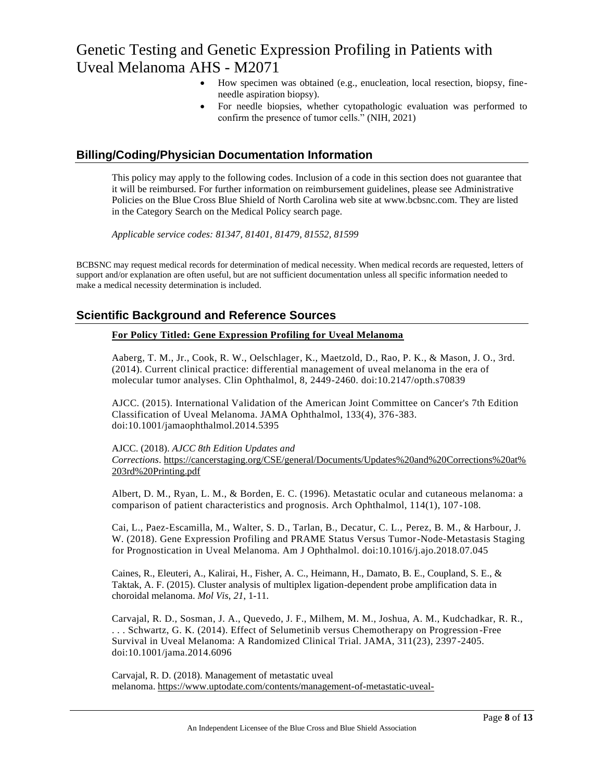- How specimen was obtained (e.g., enucleation, local resection, biopsy, fineneedle aspiration biopsy).
- For needle biopsies, whether cytopathologic evaluation was performed to confirm the presence of tumor cells." (NIH, 2021)

### **Billing/Coding/Physician Documentation Information**

This policy may apply to the following codes. Inclusion of a code in this section does not guarantee that it will be reimbursed. For further information on reimbursement guidelines, please see Administrative Policies on the Blue Cross Blue Shield of North Carolina web site at www.bcbsnc.com. They are listed in the Category Search on the Medical Policy search page.

*Applicable service codes: 81347, 81401, 81479, 81552, 81599*

BCBSNC may request medical records for determination of medical necessity. When medical records are requested, letters of support and/or explanation are often useful, but are not sufficient documentation unless all specific information needed to make a medical necessity determination is included.

### **Scientific Background and Reference Sources**

#### **For Policy Titled: Gene Expression Profiling for Uveal Melanoma**

Aaberg, T. M., Jr., Cook, R. W., Oelschlager, K., Maetzold, D., Rao, P. K., & Mason, J. O., 3rd. (2014). Current clinical practice: differential management of uveal melanoma in the era of molecular tumor analyses. Clin Ophthalmol, 8, 2449-2460. doi:10.2147/opth.s70839

AJCC. (2015). International Validation of the American Joint Committee on Cancer's 7th Edition Classification of Uveal Melanoma. JAMA Ophthalmol, 133(4), 376-383. doi:10.1001/jamaophthalmol.2014.5395

#### AJCC. (2018). *AJCC 8th Edition Updates and*

*Corrections*. [https://cancerstaging.org/CSE/general/Documents/Updates%20and%20Corrections%20at%](https://cancerstaging.org/CSE/general/Documents/Updates%20and%20Corrections%20at%203rd%20Printing.pdf) [203rd%20Printing.pdf](https://cancerstaging.org/CSE/general/Documents/Updates%20and%20Corrections%20at%203rd%20Printing.pdf)

Albert, D. M., Ryan, L. M., & Borden, E. C. (1996). Metastatic ocular and cutaneous melanoma: a comparison of patient characteristics and prognosis. Arch Ophthalmol, 114(1), 107-108.

Cai, L., Paez-Escamilla, M., Walter, S. D., Tarlan, B., Decatur, C. L., Perez, B. M., & Harbour, J. W. (2018). Gene Expression Profiling and PRAME Status Versus Tumor-Node-Metastasis Staging for Prognostication in Uveal Melanoma. Am J Ophthalmol. doi:10.1016/j.ajo.2018.07.045

Caines, R., Eleuteri, A., Kalirai, H., Fisher, A. C., Heimann, H., Damato, B. E., Coupland, S. E., & Taktak, A. F. (2015). Cluster analysis of multiplex ligation-dependent probe amplification data in choroidal melanoma. *Mol Vis*, *21*, 1-11.

Carvajal, R. D., Sosman, J. A., Quevedo, J. F., Milhem, M. M., Joshua, A. M., Kudchadkar, R. R., . . . Schwartz, G. K. (2014). Effect of Selumetinib versus Chemotherapy on Progression -Free Survival in Uveal Melanoma: A Randomized Clinical Trial. JAMA, 311(23), 2397-2405. doi:10.1001/jama.2014.6096

Carvajal, R. D. (2018). Management of metastatic uveal melanoma. [https://www.uptodate.com/contents/management-of-metastatic-uveal-](https://www.uptodate.com/contents/management-of-metastatic-uveal-melanoma?search=uveal%20melanoma&source=search_result&selectedTitle=2~25&usage_type=default&display_rank=2)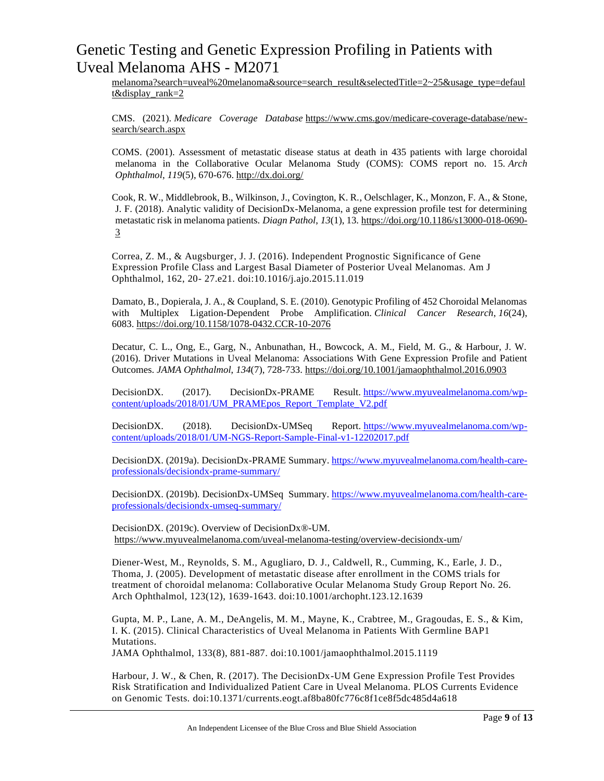[melanoma?search=uveal%20melanoma&source=search\\_result&selectedTitle=2~25&usage\\_type=defaul](https://www.uptodate.com/contents/management-of-metastatic-uveal-melanoma?search=uveal%20melanoma&source=search_result&selectedTitle=2~25&usage_type=default&display_rank=2) [t&display\\_rank=2](https://www.uptodate.com/contents/management-of-metastatic-uveal-melanoma?search=uveal%20melanoma&source=search_result&selectedTitle=2~25&usage_type=default&display_rank=2)

CMS. (2021). *Medicare Coverage Database* [https://www.cms.gov/medicare-coverage-database/new](https://www.cms.gov/medicare-coverage-database/new-search/search.aspx)[search/search.aspx](https://www.cms.gov/medicare-coverage-database/new-search/search.aspx)

COMS. (2001). Assessment of metastatic disease status at death in 435 patients with large choroidal melanoma in the Collaborative Ocular Melanoma Study (COMS): COMS report no. 15. *Arch Ophthalmol*, *119*(5), 670-676. <http://dx.doi.org/>

Cook, R. W., Middlebrook, B., Wilkinson, J., Covington, K. R., Oelschlager, K., Monzon, F. A., & Stone, J. F. (2018). Analytic validity of DecisionDx-Melanoma, a gene expression profile test for determining metastatic risk in melanoma patients. *Diagn Pathol*, *13*(1), 13. [https://doi.org/10.1186/s13000-018-0690-](https://doi.org/10.1186/s13000-018-0690-3) [3](https://doi.org/10.1186/s13000-018-0690-3)

Correa, Z. M., & Augsburger, J. J. (2016). Independent Prognostic Significance of Gene Expression Profile Class and Largest Basal Diameter of Posterior Uveal Melanomas. Am J Ophthalmol, 162, 20- 27.e21. doi:10.1016/j.ajo.2015.11.019

Damato, B., Dopierala, J. A., & Coupland, S. E. (2010). Genotypic Profiling of 452 Choroidal Melanomas with Multiplex Ligation-Dependent Probe Amplification. *Clinical Cancer Research*, *16*(24), 6083. <https://doi.org/10.1158/1078-0432.CCR-10-2076>

Decatur, C. L., Ong, E., Garg, N., Anbunathan, H., Bowcock, A. M., Field, M. G., & Harbour, J. W. (2016). Driver Mutations in Uveal Melanoma: Associations With Gene Expression Profile and Patient Outcomes. *JAMA Ophthalmol*, *134*(7), 728-733. <https://doi.org/10.1001/jamaophthalmol.2016.0903>

DecisionDX. (2017). DecisionDx-PRAME Result. [https://www.myuvealmelanoma.com/wp](https://www.myuvealmelanoma.com/wp-content/uploads/2018/01/UM_PRAMEpos_Report_Template_V2.pdf)[content/uploads/2018/01/UM\\_PRAMEpos\\_Report\\_Template\\_V2.pdf](https://www.myuvealmelanoma.com/wp-content/uploads/2018/01/UM_PRAMEpos_Report_Template_V2.pdf)

DecisionDX. (2018). DecisionDx-UMSeq Report. [https://www.myuvealmelanoma.com/wp](https://www.myuvealmelanoma.com/wp-content/uploads/2018/01/UM-NGS-Report-Sample-Final-v1-12202017.pdf)[content/uploads/2018/01/UM-NGS-Report-Sample-Final-v1-12202017.pdf](https://www.myuvealmelanoma.com/wp-content/uploads/2018/01/UM-NGS-Report-Sample-Final-v1-12202017.pdf)

DecisionDX. (2019a). DecisionDx-PRAME Summary. [https://www.myuvealmelanoma.com/health-care](https://www.myuvealmelanoma.com/health-care-professionals/decisiondx-prame-summary/)[professionals/decisiondx-prame-summary/](https://www.myuvealmelanoma.com/health-care-professionals/decisiondx-prame-summary/)

DecisionDX. (2019b). DecisionDx-UMSeq Summary. [https://www.myuvealmelanoma.com/health-care](https://www.myuvealmelanoma.com/health-care-professionals/decisiondx-umseq-summary/)[professionals/decisiondx-umseq-summary/](https://www.myuvealmelanoma.com/health-care-professionals/decisiondx-umseq-summary/)

DecisionDX. (2019c). Overview of DecisionDx®-UM. <https://www.myuvealmelanoma.com/uveal-melanoma-testing/overview-decisiondx-um/>

Diener-West, M., Reynolds, S. M., Agugliaro, D. J., Caldwell, R., Cumming, K., Earle, J. D., Thoma, J. (2005). Development of metastatic disease after enrollment in the COMS trials for treatment of choroidal melanoma: Collaborative Ocular Melanoma Study Group Report No. 26. Arch Ophthalmol, 123(12), 1639-1643. doi:10.1001/archopht.123.12.1639

Gupta, M. P., Lane, A. M., DeAngelis, M. M., Mayne, K., Crabtree, M., Gragoudas, E. S., & Kim, I. K. (2015). Clinical Characteristics of Uveal Melanoma in Patients With Germline BAP1 Mutations.

JAMA Ophthalmol, 133(8), 881-887. doi:10.1001/jamaophthalmol.2015.1119

Harbour, J. W., & Chen, R. (2017). The DecisionDx-UM Gene Expression Profile Test Provides Risk Stratification and Individualized Patient Care in Uveal Melanoma. PLOS Currents Evidence on Genomic Tests. doi:10.1371/currents.eogt.af8ba80fc776c8f1ce8f5dc485d4a618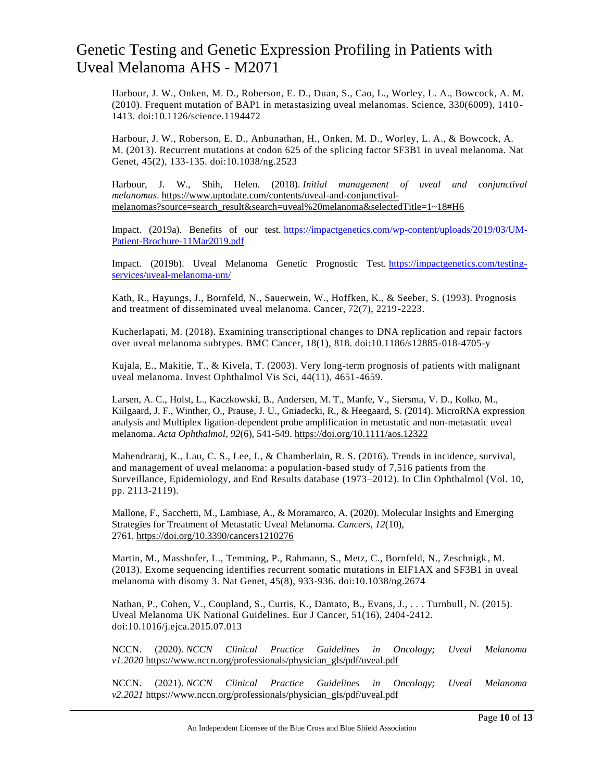Harbour, J. W., Onken, M. D., Roberson, E. D., Duan, S., Cao, L., Worley, L. A., Bowcock, A. M. (2010). Frequent mutation of BAP1 in metastasizing uveal melanomas. Science, 330(6009), 1410 - 1413. doi:10.1126/science.1194472

Harbour, J. W., Roberson, E. D., Anbunathan, H., Onken, M. D., Worley, L. A., & Bowcock, A. M. (2013). Recurrent mutations at codon 625 of the splicing factor SF3B1 in uveal melanoma. Nat Genet, 45(2), 133-135. doi:10.1038/ng.2523

Harbour, J. W., Shih, Helen. (2018). *Initial management of uveal and conjunctival melanomas*. [https://www.uptodate.com/contents/uveal-and-conjunctival](https://www.uptodate.com/contents/uveal-and-conjunctival-melanomas?source=search_result&search=uveal%20melanoma&selectedTitle=1~18#H6)[melanomas?source=search\\_result&search=uveal%20melanoma&selectedTitle=1~18#H6](https://www.uptodate.com/contents/uveal-and-conjunctival-melanomas?source=search_result&search=uveal%20melanoma&selectedTitle=1~18#H6)

Impact. (2019a). Benefits of our test. [https://impactgenetics.com/wp-content/uploads/2019/03/UM-](https://impactgenetics.com/wp-content/uploads/2019/03/UM-Patient-Brochure-11Mar2019.pdf)[Patient-Brochure-11Mar2019.pdf](https://impactgenetics.com/wp-content/uploads/2019/03/UM-Patient-Brochure-11Mar2019.pdf)

Impact. (2019b). Uveal Melanoma Genetic Prognostic Test. [https://impactgenetics.com/testing](https://impactgenetics.com/testing-services/uveal-melanoma-um/)[services/uveal-melanoma-um/](https://impactgenetics.com/testing-services/uveal-melanoma-um/)

Kath, R., Hayungs, J., Bornfeld, N., Sauerwein, W., Hoffken, K., & Seeber, S. (1993). Prognosis and treatment of disseminated uveal melanoma. Cancer, 72(7), 2219-2223.

Kucherlapati, M. (2018). Examining transcriptional changes to DNA replication and repair factors over uveal melanoma subtypes. BMC Cancer, 18(1), 818. doi:10.1186/s12885-018-4705-y

Kujala, E., Makitie, T., & Kivela, T. (2003). Very long-term prognosis of patients with malignant uveal melanoma. Invest Ophthalmol Vis Sci, 44(11), 4651-4659.

Larsen, A. C., Holst, L., Kaczkowski, B., Andersen, M. T., Manfe, V., Siersma, V. D., Kolko, M., Kiilgaard, J. F., Winther, O., Prause, J. U., Gniadecki, R., & Heegaard, S. (2014). MicroRNA expression analysis and Multiplex ligation-dependent probe amplification in metastatic and non-metastatic uveal melanoma. *Acta Ophthalmol*, *92*(6), 541-549. <https://doi.org/10.1111/aos.12322>

Mahendraraj, K., Lau, C. S., Lee, I., & Chamberlain, R. S. (2016). Trends in incidence, survival, and management of uveal melanoma: a population-based study of 7,516 patients from the Surveillance, Epidemiology, and End Results database (1973–2012). In Clin Ophthalmol (Vol. 10, pp. 2113-2119).

Mallone, F., Sacchetti, M., Lambiase, A., & Moramarco, A. (2020). Molecular Insights and Emerging Strategies for Treatment of Metastatic Uveal Melanoma. *Cancers*, *12*(10), 2761. [https://doi.org/10.3390/cancers1210276](https://doi.org/10.3390/cancers12102761)

Martin, M., Masshofer, L., Temming, P., Rahmann, S., Metz, C., Bornfeld, N., Zeschnigk , M. (2013). Exome sequencing identifies recurrent somatic mutations in EIF1AX and SF3B1 in uveal melanoma with disomy 3. Nat Genet, 45(8), 933-936. doi:10.1038/ng.2674

Nathan, P., Cohen, V., Coupland, S., Curtis, K., Damato, B., Evans, J., . . . Turnbull, N. (2015). Uveal Melanoma UK National Guidelines. Eur J Cancer, 51(16), 2404-2412. doi:10.1016/j.ejca.2015.07.013

NCCN. (2020). *NCCN Clinical Practice Guidelines in Oncology; Uveal Melanoma v1.2020* [https://www.nccn.org/professionals/physician\\_gls/pdf/uveal.pdf](https://www.nccn.org/professionals/physician_gls/pdf/uveal.pdf)

NCCN. (2021). *NCCN Clinical Practice Guidelines in Oncology; Uveal Melanoma v2.2021* [https://www.nccn.org/professionals/physician\\_gls/pdf/uveal.pdf](https://www.nccn.org/professionals/physician_gls/pdf/uveal.pdf)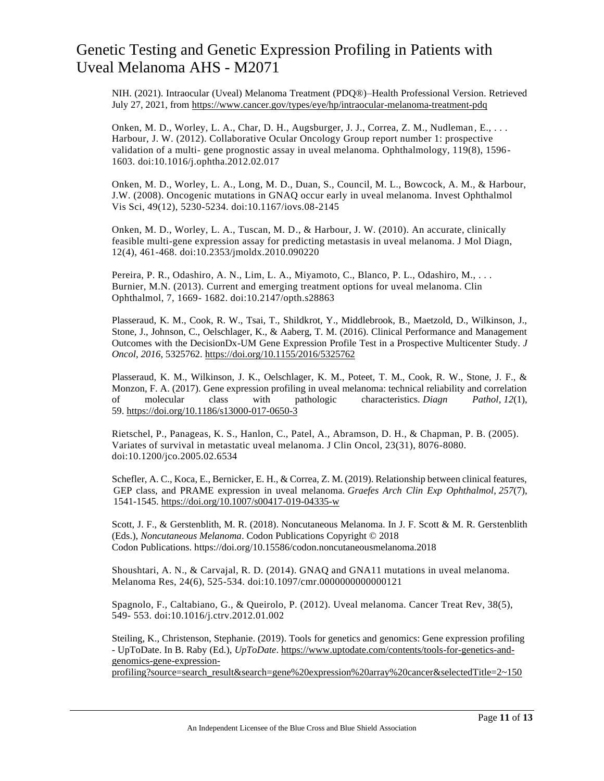NIH. (2021). Intraocular (Uveal) Melanoma Treatment (PDQ®)–Health Professional Version. Retrieved July 27, 2021, from <https://www.cancer.gov/types/eye/hp/intraocular-melanoma-treatment-pdq>

Onken, M. D., Worley, L. A., Char, D. H., Augsburger, J. J., Correa, Z. M., Nudleman, E., ... Harbour, J. W. (2012). Collaborative Ocular Oncology Group report number 1: prospective validation of a multi- gene prognostic assay in uveal melanoma. Ophthalmology, 119(8), 1596- 1603. doi:10.1016/j.ophtha.2012.02.017

Onken, M. D., Worley, L. A., Long, M. D., Duan, S., Council, M. L., Bowcock, A. M., & Harbour, J.W. (2008). Oncogenic mutations in GNAQ occur early in uveal melanoma. Invest Ophthalmol Vis Sci, 49(12), 5230-5234. doi:10.1167/iovs.08-2145

Onken, M. D., Worley, L. A., Tuscan, M. D., & Harbour, J. W. (2010). An accurate, clinically feasible multi-gene expression assay for predicting metastasis in uveal melanoma. J Mol Diagn, 12(4), 461-468. doi:10.2353/jmoldx.2010.090220

Pereira, P. R., Odashiro, A. N., Lim, L. A., Miyamoto, C., Blanco, P. L., Odashiro, M., . . . Burnier, M.N. (2013). Current and emerging treatment options for uveal melanoma. Clin Ophthalmol, 7, 1669- 1682. doi:10.2147/opth.s28863

Plasseraud, K. M., Cook, R. W., Tsai, T., Shildkrot, Y., Middlebrook, B., Maetzold, D., Wilkinson, J., Stone, J., Johnson, C., Oelschlager, K., & Aaberg, T. M. (2016). Clinical Performance and Management Outcomes with the DecisionDx-UM Gene Expression Profile Test in a Prospective Multicenter Study. *J Oncol*, *2016*, 5325762. <https://doi.org/10.1155/2016/5325762>

Plasseraud, K. M., Wilkinson, J. K., Oelschlager, K. M., Poteet, T. M., Cook, R. W., Stone, J. F., & Monzon, F. A. (2017). Gene expression profiling in uveal melanoma: technical reliability and correlation of molecular class with pathologic characteristics. *Diagn Pathol*, *12*(1), 59. <https://doi.org/10.1186/s13000-017-0650-3>

Rietschel, P., Panageas, K. S., Hanlon, C., Patel, A., Abramson, D. H., & Chapman, P. B. (2005). Variates of survival in metastatic uveal melanoma. J Clin Oncol, 23(31), 8076-8080. doi:10.1200/jco.2005.02.6534

Schefler, A. C., Koca, E., Bernicker, E. H., & Correa, Z. M. (2019). Relationship between clinical features, GEP class, and PRAME expression in uveal melanoma. *Graefes Arch Clin Exp Ophthalmol*, *257*(7), 1541-1545. <https://doi.org/10.1007/s00417-019-04335-w>

Scott, J. F., & Gerstenblith, M. R. (2018). Noncutaneous Melanoma. In J. F. Scott & M. R. Gerstenblith (Eds.), *Noncutaneous Melanoma*. Codon Publications Copyright © 2018 Codon Publications. https://doi.org/10.15586/codon.noncutaneousmelanoma.2018

Shoushtari, A. N., & Carvajal, R. D. (2014). GNAQ and GNA11 mutations in uveal melanoma. Melanoma Res, 24(6), 525-534. doi:10.1097/cmr.0000000000000121

Spagnolo, F., Caltabiano, G., & Queirolo, P. (2012). Uveal melanoma. Cancer Treat Rev, 38(5), 549- 553. doi:10.1016/j.ctrv.2012.01.002

Steiling, K., Christenson, Stephanie. (2019). Tools for genetics and genomics: Gene expression profiling - UpToDate. In B. Raby (Ed.), *UpToDate*. [https://www.uptodate.com/contents/tools-for-genetics-and](https://www.uptodate.com/contents/tools-for-genetics-and-genomics-gene-expression-profiling?source=search_result&search=gene%20expression%20array%20cancer&selectedTitle=2~150)[genomics-gene-expression-](https://www.uptodate.com/contents/tools-for-genetics-and-genomics-gene-expression-profiling?source=search_result&search=gene%20expression%20array%20cancer&selectedTitle=2~150)

[profiling?source=search\\_result&search=gene%20expression%20array%20cancer&selectedTitle=2~150](https://www.uptodate.com/contents/tools-for-genetics-and-genomics-gene-expression-profiling?source=search_result&search=gene%20expression%20array%20cancer&selectedTitle=2~150)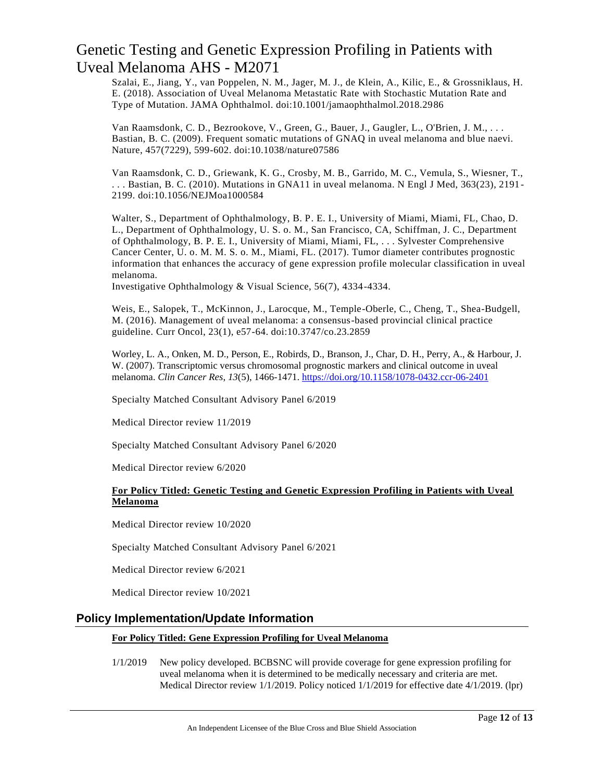Szalai, E., Jiang, Y., van Poppelen, N. M., Jager, M. J., de Klein, A., Kilic, E., & Grossniklaus, H. E. (2018). Association of Uveal Melanoma Metastatic Rate with Stochastic Mutation Rate and Type of Mutation. JAMA Ophthalmol. doi:10.1001/jamaophthalmol.2018.2986

Van Raamsdonk, C. D., Bezrookove, V., Green, G., Bauer, J., Gaugler, L., O'Brien, J. M., . . . Bastian, B. C. (2009). Frequent somatic mutations of GNAQ in uveal melanoma and blue naevi. Nature, 457(7229), 599-602. doi:10.1038/nature07586

Van Raamsdonk, C. D., Griewank, K. G., Crosby, M. B., Garrido, M. C., Vemula, S., Wiesner, T., . . . Bastian, B. C. (2010). Mutations in GNA11 in uveal melanoma. N Engl J Med, 363(23), 2191 - 2199. doi:10.1056/NEJMoa1000584

Walter, S., Department of Ophthalmology, B. P. E. I., University of Miami, Miami, FL, Chao, D. L., Department of Ophthalmology, U. S. o. M., San Francisco, CA, Schiffman, J. C., Department of Ophthalmology, B. P. E. I., University of Miami, Miami, FL, . . . Sylvester Comprehensive Cancer Center, U. o. M. M. S. o. M., Miami, FL. (2017). Tumor diameter contributes prognostic information that enhances the accuracy of gene expression profile molecular classification in uveal melanoma.

Investigative Ophthalmology & Visual Science, 56(7), 4334-4334.

Weis, E., Salopek, T., McKinnon, J., Larocque, M., Temple-Oberle, C., Cheng, T., Shea-Budgell, M. (2016). Management of uveal melanoma: a consensus-based provincial clinical practice guideline. Curr Oncol, 23(1), e57-64. doi:10.3747/co.23.2859

Worley, L. A., Onken, M. D., Person, E., Robirds, D., Branson, J., Char, D. H., Perry, A., & Harbour, J. W. (2007). Transcriptomic versus chromosomal prognostic markers and clinical outcome in uveal melanoma. *Clin Cancer Res*, *13*(5), 1466-1471. <https://doi.org/10.1158/1078-0432.ccr-06-2401>

Specialty Matched Consultant Advisory Panel 6/2019

Medical Director review 11/2019

Specialty Matched Consultant Advisory Panel 6/2020

Medical Director review 6/2020

#### **For Policy Titled: Genetic Testing and Genetic Expression Profiling in Patients with Uveal Melanoma**

Medical Director review 10/2020

Specialty Matched Consultant Advisory Panel 6/2021

Medical Director review 6/2021

Medical Director review 10/2021

### **Policy Implementation/Update Information**

#### **For Policy Titled: Gene Expression Profiling for Uveal Melanoma**

1/1/2019 New policy developed. BCBSNC will provide coverage for gene expression profiling for uveal melanoma when it is determined to be medically necessary and criteria are met. Medical Director review 1/1/2019. Policy noticed 1/1/2019 for effective date 4/1/2019. (lpr)